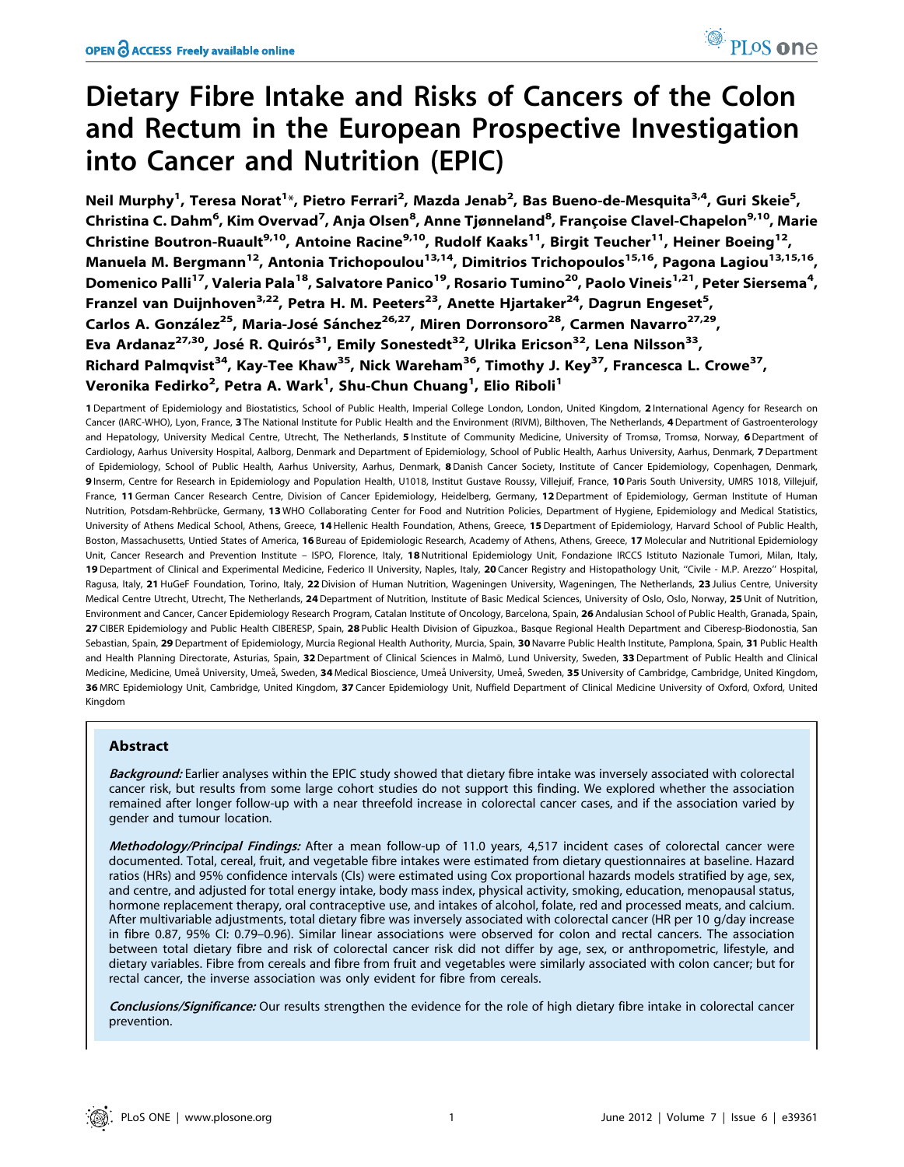# Dietary Fibre Intake and Risks of Cancers of the Colon and Rectum in the European Prospective Investigation into Cancer and Nutrition (EPIC)

Neil Murphy<sup>1</sup>, Teresa Norat<sup>1</sup>\*, Pietro Ferrari<sup>2</sup>, Mazda Jenab<sup>2</sup>, Bas Bueno-de-Mesquita<sup>3,4</sup>, Guri Skeie<sup>5</sup>, Christina C. Dahm<sup>6</sup>, Kim Overvad<sup>7</sup>, Anja Olsen<sup>8</sup>, Anne Tjønneland<sup>8</sup>, Françoise Clavel-Chapelon<sup>9,10</sup>, Marie Christine Boutron-Ruault<sup>9,10</sup>, Antoine Racine<sup>9,10</sup>, Rudolf Kaaks<sup>11</sup>, Birgit Teucher<sup>11</sup>, Heiner Boeing<sup>12</sup>, Manuela M. Bergmann<sup>12</sup>, Antonia Trichopoulou<sup>13,14</sup>, Dimitrios Trichopoulos<sup>15,16</sup>, Pagona Lagiou<sup>13,15,16</sup>, Domenico Palli<sup>17</sup>, Valeria Pala<sup>18</sup>, Salvatore Panico<sup>19</sup>, Rosario Tumino<sup>20</sup>, Paolo Vineis<sup>1,21</sup>, Peter Siersema<sup>4</sup>, Franzel van Duijnhoven<sup>3,22</sup>, Petra H. M. Peeters<sup>23</sup>, Anette Hjartaker<sup>24</sup>, Dagrun Engeset<sup>5</sup>, Carlos A. González<sup>25</sup>, Maria-José Sánchez<sup>26,27</sup>, Miren Dorronsoro<sup>28</sup>, Carmen Navarro<sup>27,29</sup>, Eva Ardanaz<sup>27,30</sup>, José R. Quirós<sup>31</sup>, Emily Sonestedt<sup>32</sup>, Ulrika Ericson<sup>32</sup>, Lena Nilsson<sup>33</sup>, Richard Palmqvist<sup>34</sup>, Kay-Tee Khaw<sup>35</sup>, Nick Wareham<sup>36</sup>, Timothy J. Key<sup>37</sup>, Francesca L. Crowe<sup>37</sup>, Veronika Fedirko<sup>2</sup>, Petra A. Wark<sup>1</sup>, Shu-Chun Chuang<sup>1</sup>, Elio Riboli<sup>1</sup>

1 Department of Epidemiology and Biostatistics, School of Public Health, Imperial College London, London, United Kingdom, 2 International Agency for Research on Cancer (IARC-WHO), Lyon, France, 3 The National Institute for Public Health and the Environment (RIVM), Bilthoven, The Netherlands, 4Department of Gastroenterology and Hepatology, University Medical Centre, Utrecht, The Netherlands, 5 Institute of Community Medicine, University of Tromsø, Tromsø, Norway, 6 Department of Cardiology, Aarhus University Hospital, Aalborg, Denmark and Department of Epidemiology, School of Public Health, Aarhus University, Aarhus, Denmark, 7 Department of Epidemiology, School of Public Health, Aarhus University, Aarhus, Denmark, 8 Danish Cancer Society, Institute of Cancer Epidemiology, Copenhagen, Denmark, 9 Inserm, Centre for Research in Epidemiology and Population Health, U1018, Institut Gustave Roussy, Villejuif, France, 10 Paris South University, UMRS 1018, Villejuif, France, 11 German Cancer Research Centre, Division of Cancer Epidemiology, Heidelberg, Germany, 12 Department of Epidemiology, German Institute of Human Nutrition, Potsdam-Rehbrücke, Germany, 13 WHO Collaborating Center for Food and Nutrition Policies, Department of Hygiene, Epidemiology and Medical Statistics, University of Athens Medical School, Athens, Greece, 14 Hellenic Health Foundation, Athens, Greece, 15 Department of Epidemiology, Harvard School of Public Health, Boston, Massachusetts, Untied States of America, 16 Bureau of Epidemiologic Research, Academy of Athens, Athens, Greece, 17 Molecular and Nutritional Epidemiology Unit, Cancer Research and Prevention Institute - ISPO, Florence, Italy, 18 Nutritional Epidemiology Unit, Fondazione IRCCS Istituto Nazionale Tumori, Milan, Italy, 19 Department of Clinical and Experimental Medicine, Federico II University, Naples, Italy, 20 Cancer Registry and Histopathology Unit, "Civile - M.P. Arezzo" Hospital, Ragusa, Italy, 21 HuGeF Foundation, Torino, Italy, 22 Division of Human Nutrition, Wageningen University, Wageningen, The Netherlands, 23 Julius Centre, University Medical Centre Utrecht, Utrecht, The Netherlands, 24 Department of Nutrition, Institute of Basic Medical Sciences, University of Oslo, Oslo, Norway, 25 Unit of Nutrition, Environment and Cancer, Cancer Epidemiology Research Program, Catalan Institute of Oncology, Barcelona, Spain, 26 Andalusian School of Public Health, Granada, Spain, 27 CIBER Epidemiology and Public Health CIBERESP, Spain, 28 Public Health Division of Gipuzkoa., Basque Regional Health Department and Ciberesp-Biodonostia, San Sebastian, Spain, 29 Department of Epidemiology, Murcia Regional Health Authority, Murcia, Spain, 30 Navarre Public Health Institute, Pamplona, Spain, 31 Public Health and Health Planning Directorate, Asturias, Spain, 32 Department of Clinical Sciences in Malmö, Lund University, Sweden, 33 Department of Public Health and Clinical Medicine, Medicine, Umeå University, Umeå, Sweden, 34 Medical Bioscience, Umeå University, Umeå, Sweden, 35 University of Cambridge, Cambridge, United Kingdom, 36 MRC Epidemiology Unit, Cambridge, United Kingdom, 37 Cancer Epidemiology Unit, Nuffield Department of Clinical Medicine University of Oxford, Oxford, United Kingdom

# Abstract

Background: Earlier analyses within the EPIC study showed that dietary fibre intake was inversely associated with colorectal cancer risk, but results from some large cohort studies do not support this finding. We explored whether the association remained after longer follow-up with a near threefold increase in colorectal cancer cases, and if the association varied by gender and tumour location.

Methodology/Principal Findings: After a mean follow-up of 11.0 years, 4,517 incident cases of colorectal cancer were documented. Total, cereal, fruit, and vegetable fibre intakes were estimated from dietary questionnaires at baseline. Hazard ratios (HRs) and 95% confidence intervals (CIs) were estimated using Cox proportional hazards models stratified by age, sex, and centre, and adjusted for total energy intake, body mass index, physical activity, smoking, education, menopausal status, hormone replacement therapy, oral contraceptive use, and intakes of alcohol, folate, red and processed meats, and calcium. After multivariable adjustments, total dietary fibre was inversely associated with colorectal cancer (HR per 10 g/day increase in fibre 0.87, 95% CI: 0.79–0.96). Similar linear associations were observed for colon and rectal cancers. The association between total dietary fibre and risk of colorectal cancer risk did not differ by age, sex, or anthropometric, lifestyle, and dietary variables. Fibre from cereals and fibre from fruit and vegetables were similarly associated with colon cancer; but for rectal cancer, the inverse association was only evident for fibre from cereals.

Conclusions/Significance: Our results strengthen the evidence for the role of high dietary fibre intake in colorectal cancer prevention.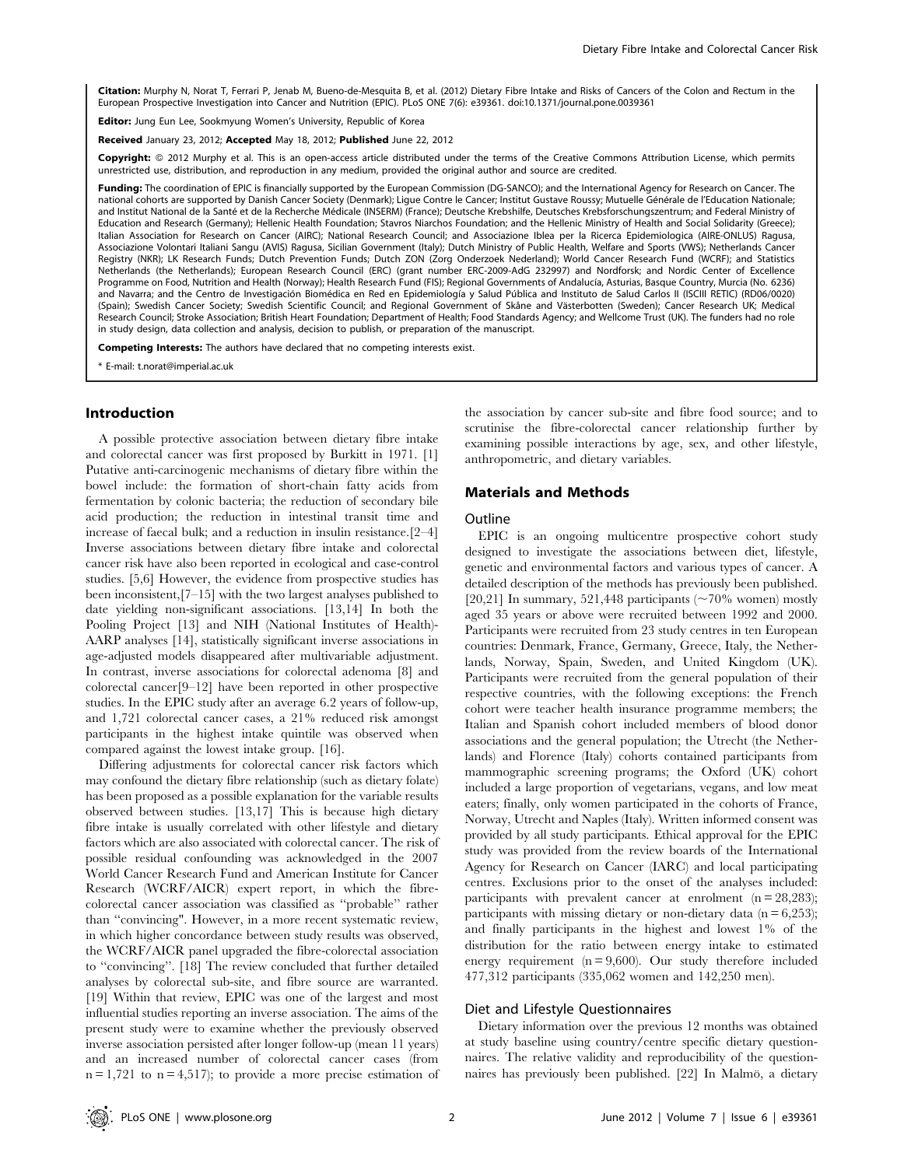Citation: Murphy N, Norat T, Ferrari P, Jenab M, Bueno-de-Mesquita B, et al. (2012) Dietary Fibre Intake and Risks of Cancers of the Colon and Rectum in the European Prospective Investigation into Cancer and Nutrition (EPIC). PLoS ONE 7(6): e39361. doi:10.1371/journal.pone.0039361

Editor: Jung Eun Lee, Sookmyung Women's University, Republic of Korea

Received January 23, 2012; Accepted May 18, 2012; Published June 22, 2012

**Copyright:** © 2012 Murphy et al. This is an open-access article distributed under the terms of the Creative Commons Attribution License, which permits unrestricted use, distribution, and reproduction in any medium, provided the original author and source are credited.

Funding: The coordination of EPIC is financially supported by the European Commission (DG-SANCO); and the International Agency for Research on Cancer. The national cohorts are supported by Danish Cancer Society (Denmark); Ligue Contre le Cancer; Institut Gustave Roussy; Mutuelle Générale de l'Education Nationale; and Institut National de la Santé et de la Recherche Médicale (INSERM) (France); Deutsche Krebshilfe, Deutsches Krebsforschungszentrum; and Federal Ministry of Education and Research (Germany); Hellenic Health Foundation; Stavros Niarchos Foundation; and the Hellenic Ministry of Health and Social Solidarity (Greece); Italian Association for Research on Cancer (AIRC); National Research Council; and Associazione Iblea per la Ricerca Epidemiologica (AIRE-ONLUS) Ragusa, Associazione Volontari Italiani Sangu (AVIS) Ragusa, Sicilian Government (Italy); Dutch Ministry of Public Health, Welfare and Sports (VWS); Netherlands Cancer Registry (NKR); LK Research Funds; Dutch Prevention Funds; Dutch ZON (Zorg Onderzoek Nederland); World Cancer Research Fund (WCRF); and Statistics Netherlands (the Netherlands); European Research Council (ERC) (grant number ERC-2009-AdG 232997) and Nordforsk; and Nordic Center of Excellence Programme on Food, Nutrition and Health (Norway); Health Research Fund (FIS); Regional Governments of Andalucía, Asturias, Basque Country, Murcia (No. 6236) and Navarra; and the Centro de Investigación Biomédica en Red en Epidemiología y Salud Pública and Instituto de Salud Carlos II (ISCIII RETIC) (RD06/0020) (Spain); Swedish Cancer Society; Swedish Scientific Council; and Regional Government of Skåne and Västerbotten (Sweden); Cancer Research UK; Medical Research Council; Stroke Association; British Heart Foundation; Department of Health; Food Standards Agency; and Wellcome Trust (UK). The funders had no role in study design, data collection and analysis, decision to publish, or preparation of the manuscript.

Competing Interests: The authors have declared that no competing interests exist.

\* E-mail: t.norat@imperial.ac.uk

# Introduction

A possible protective association between dietary fibre intake and colorectal cancer was first proposed by Burkitt in 1971. [1] Putative anti-carcinogenic mechanisms of dietary fibre within the bowel include: the formation of short-chain fatty acids from fermentation by colonic bacteria; the reduction of secondary bile acid production; the reduction in intestinal transit time and increase of faecal bulk; and a reduction in insulin resistance.[2–4] Inverse associations between dietary fibre intake and colorectal cancer risk have also been reported in ecological and case-control studies. [5,6] However, the evidence from prospective studies has been inconsistent,[7–15] with the two largest analyses published to date yielding non-significant associations. [13,14] In both the Pooling Project [13] and NIH (National Institutes of Health)- AARP analyses [14], statistically significant inverse associations in age-adjusted models disappeared after multivariable adjustment. In contrast, inverse associations for colorectal adenoma [8] and colorectal cancer[9–12] have been reported in other prospective studies. In the EPIC study after an average 6.2 years of follow-up, and 1,721 colorectal cancer cases, a 21% reduced risk amongst participants in the highest intake quintile was observed when compared against the lowest intake group. [16].

Differing adjustments for colorectal cancer risk factors which may confound the dietary fibre relationship (such as dietary folate) has been proposed as a possible explanation for the variable results observed between studies. [13,17] This is because high dietary fibre intake is usually correlated with other lifestyle and dietary factors which are also associated with colorectal cancer. The risk of possible residual confounding was acknowledged in the 2007 World Cancer Research Fund and American Institute for Cancer Research (WCRF/AICR) expert report, in which the fibrecolorectal cancer association was classified as ''probable'' rather than ''convincing". However, in a more recent systematic review, in which higher concordance between study results was observed, the WCRF/AICR panel upgraded the fibre-colorectal association to ''convincing''. [18] The review concluded that further detailed analyses by colorectal sub-site, and fibre source are warranted. [19] Within that review, EPIC was one of the largest and most influential studies reporting an inverse association. The aims of the present study were to examine whether the previously observed inverse association persisted after longer follow-up (mean 11 years) and an increased number of colorectal cancer cases (from  $n = 1,721$  to  $n = 4,517$ ; to provide a more precise estimation of the association by cancer sub-site and fibre food source; and to scrutinise the fibre-colorectal cancer relationship further by examining possible interactions by age, sex, and other lifestyle, anthropometric, and dietary variables.

# Materials and Methods

#### **Outline**

EPIC is an ongoing multicentre prospective cohort study designed to investigate the associations between diet, lifestyle, genetic and environmental factors and various types of cancer. A detailed description of the methods has previously been published. [20,21] In summary, 521,448 participants ( $\sim$ 70% women) mostly aged 35 years or above were recruited between 1992 and 2000. Participants were recruited from 23 study centres in ten European countries: Denmark, France, Germany, Greece, Italy, the Netherlands, Norway, Spain, Sweden, and United Kingdom (UK). Participants were recruited from the general population of their respective countries, with the following exceptions: the French cohort were teacher health insurance programme members; the Italian and Spanish cohort included members of blood donor associations and the general population; the Utrecht (the Netherlands) and Florence (Italy) cohorts contained participants from mammographic screening programs; the Oxford (UK) cohort included a large proportion of vegetarians, vegans, and low meat eaters; finally, only women participated in the cohorts of France, Norway, Utrecht and Naples (Italy). Written informed consent was provided by all study participants. Ethical approval for the EPIC study was provided from the review boards of the International Agency for Research on Cancer (IARC) and local participating centres. Exclusions prior to the onset of the analyses included: participants with prevalent cancer at enrolment  $(n = 28,283)$ ; participants with missing dietary or non-dietary data  $(n = 6,253)$ ; and finally participants in the highest and lowest 1% of the distribution for the ratio between energy intake to estimated energy requirement  $(n = 9,600)$ . Our study therefore included 477,312 participants (335,062 women and 142,250 men).

## Diet and Lifestyle Questionnaires

Dietary information over the previous 12 months was obtained at study baseline using country/centre specific dietary questionnaires. The relative validity and reproducibility of the questionnaires has previously been published. [22] In Malmö, a dietary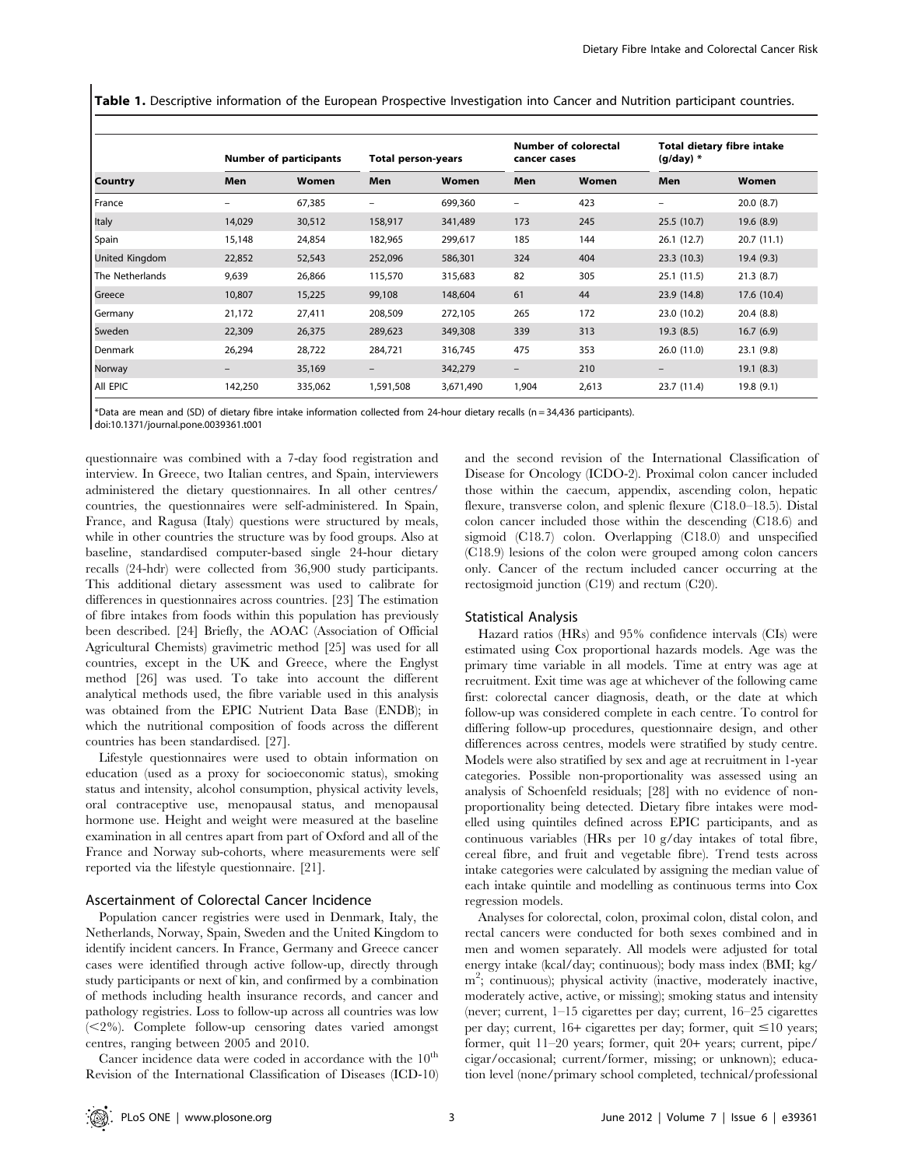Table 1. Descriptive information of the European Prospective Investigation into Cancer and Nutrition participant countries.

| Country               | <b>Number of participants</b> |         | <b>Total person-years</b> |           | <b>Number of colorectal</b><br>cancer cases |       | Total dietary fibre intake<br>$(g/day)$ * |            |
|-----------------------|-------------------------------|---------|---------------------------|-----------|---------------------------------------------|-------|-------------------------------------------|------------|
|                       | Men                           | Women   | Men                       | Women     | Men                                         | Women | Men                                       | Women      |
| France                |                               | 67,385  | $\overline{\phantom{0}}$  | 699,360   |                                             | 423   |                                           | 20.0(8.7)  |
| Italy                 | 14,029                        | 30,512  | 158,917                   | 341,489   | 173                                         | 245   | 25.5(10.7)                                | 19.6(8.9)  |
| Spain                 | 15,148                        | 24,854  | 182,965                   | 299,617   | 185                                         | 144   | 26.1(12.7)                                | 20.7(11.1) |
| <b>United Kingdom</b> | 22,852                        | 52,543  | 252,096                   | 586,301   | 324                                         | 404   | 23.3(10.3)                                | 19.4(9.3)  |
| The Netherlands       | 9,639                         | 26,866  | 115,570                   | 315,683   | 82                                          | 305   | 25.1(11.5)                                | 21.3(8.7)  |
| Greece                | 10,807                        | 15,225  | 99,108                    | 148,604   | 61                                          | 44    | 23.9 (14.8)                               | 17.6(10.4) |
| Germany               | 21,172                        | 27,411  | 208,509                   | 272,105   | 265                                         | 172   | 23.0 (10.2)                               | 20.4(8.8)  |
| Sweden                | 22,309                        | 26,375  | 289,623                   | 349,308   | 339                                         | 313   | 19.3(8.5)                                 | 16.7(6.9)  |
| Denmark               | 26,294                        | 28,722  | 284,721                   | 316,745   | 475                                         | 353   | 26.0 (11.0)                               | 23.1(9.8)  |
| Norway                | -                             | 35,169  | $\overline{\phantom{0}}$  | 342,279   | -                                           | 210   |                                           | 19.1(8.3)  |
| All EPIC              | 142,250                       | 335,062 | 1,591,508                 | 3,671,490 | 1,904                                       | 2,613 | 23.7 (11.4)                               | 19.8 (9.1) |

\*Data are mean and (SD) of dietary fibre intake information collected from 24-hour dietary recalls (n = 34,436 participants). doi:10.1371/journal.pone.0039361.t001

questionnaire was combined with a 7-day food registration and interview. In Greece, two Italian centres, and Spain, interviewers administered the dietary questionnaires. In all other centres/ countries, the questionnaires were self-administered. In Spain, France, and Ragusa (Italy) questions were structured by meals, while in other countries the structure was by food groups. Also at baseline, standardised computer-based single 24-hour dietary recalls (24-hdr) were collected from 36,900 study participants. This additional dietary assessment was used to calibrate for differences in questionnaires across countries. [23] The estimation of fibre intakes from foods within this population has previously been described. [24] Briefly, the AOAC (Association of Official Agricultural Chemists) gravimetric method [25] was used for all countries, except in the UK and Greece, where the Englyst method [26] was used. To take into account the different analytical methods used, the fibre variable used in this analysis was obtained from the EPIC Nutrient Data Base (ENDB); in which the nutritional composition of foods across the different countries has been standardised. [27].

Lifestyle questionnaires were used to obtain information on education (used as a proxy for socioeconomic status), smoking status and intensity, alcohol consumption, physical activity levels, oral contraceptive use, menopausal status, and menopausal hormone use. Height and weight were measured at the baseline examination in all centres apart from part of Oxford and all of the France and Norway sub-cohorts, where measurements were self reported via the lifestyle questionnaire. [21].

#### Ascertainment of Colorectal Cancer Incidence

Population cancer registries were used in Denmark, Italy, the Netherlands, Norway, Spain, Sweden and the United Kingdom to identify incident cancers. In France, Germany and Greece cancer cases were identified through active follow-up, directly through study participants or next of kin, and confirmed by a combination of methods including health insurance records, and cancer and pathology registries. Loss to follow-up across all countries was low  $(<2%)$ . Complete follow-up censoring dates varied amongst centres, ranging between 2005 and 2010.

Cancer incidence data were coded in accordance with the  $10<sup>th</sup>$ Revision of the International Classification of Diseases (ICD-10)

and the second revision of the International Classification of Disease for Oncology (ICDO-2). Proximal colon cancer included those within the caecum, appendix, ascending colon, hepatic flexure, transverse colon, and splenic flexure (C18.0–18.5). Distal colon cancer included those within the descending (C18.6) and sigmoid (C18.7) colon. Overlapping (C18.0) and unspecified (C18.9) lesions of the colon were grouped among colon cancers only. Cancer of the rectum included cancer occurring at the rectosigmoid junction (C19) and rectum (C20).

## Statistical Analysis

Hazard ratios (HRs) and 95% confidence intervals (CIs) were estimated using Cox proportional hazards models. Age was the primary time variable in all models. Time at entry was age at recruitment. Exit time was age at whichever of the following came first: colorectal cancer diagnosis, death, or the date at which follow-up was considered complete in each centre. To control for differing follow-up procedures, questionnaire design, and other differences across centres, models were stratified by study centre. Models were also stratified by sex and age at recruitment in 1-year categories. Possible non-proportionality was assessed using an analysis of Schoenfeld residuals; [28] with no evidence of nonproportionality being detected. Dietary fibre intakes were modelled using quintiles defined across EPIC participants, and as continuous variables (HRs per 10 g/day intakes of total fibre, cereal fibre, and fruit and vegetable fibre). Trend tests across intake categories were calculated by assigning the median value of each intake quintile and modelling as continuous terms into Cox regression models.

Analyses for colorectal, colon, proximal colon, distal colon, and rectal cancers were conducted for both sexes combined and in men and women separately. All models were adjusted for total energy intake (kcal/day; continuous); body mass index (BMI; kg/ m<sup>2</sup>; continuous); physical activity (inactive, moderately inactive, moderately active, active, or missing); smoking status and intensity (never; current, 1–15 cigarettes per day; current, 16–25 cigarettes per day; current,  $16+$  cigarettes per day; former, quit  $\leq 10$  years; former, quit 11–20 years; former, quit 20+ years; current, pipe/ cigar/occasional; current/former, missing; or unknown); education level (none/primary school completed, technical/professional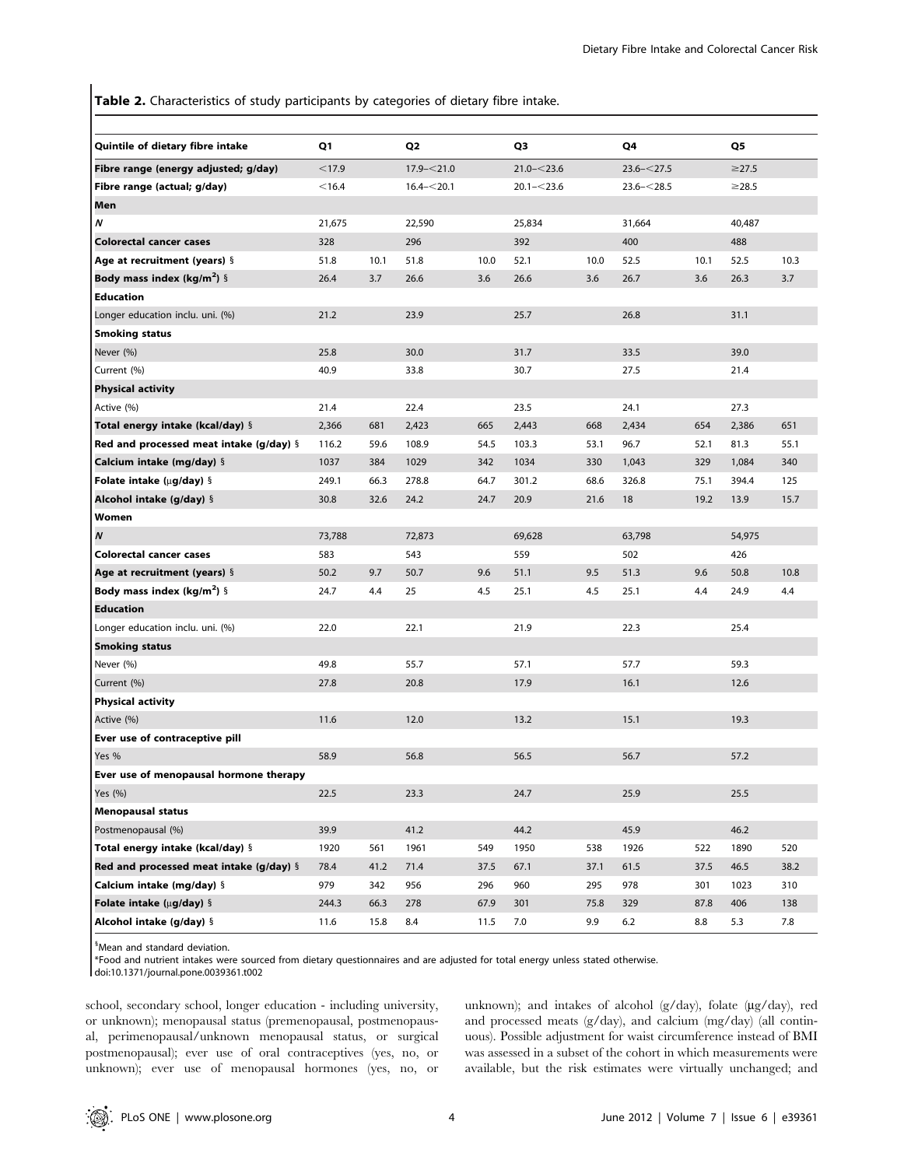Table 2. Characteristics of study participants by categories of dietary fibre intake.

| Quintile of dietary fibre intake            | Q1       |      | Q2            |      | Q3            |      | Q4            |      | Q5          |      |
|---------------------------------------------|----------|------|---------------|------|---------------|------|---------------|------|-------------|------|
| Fibre range (energy adjusted; g/day)        | < 17.9   |      | $17.9 - 21.0$ |      | $21.0 - 23.6$ |      | $23.6 - 27.5$ |      | $\geq$ 27.5 |      |
| Fibre range (actual; g/day)                 | $<$ 16.4 |      | $16.4 - 20.1$ |      | $20.1 - 23.6$ |      | $23.6 - 28.5$ |      | $\geq$ 28.5 |      |
| Men                                         |          |      |               |      |               |      |               |      |             |      |
| N                                           | 21,675   |      | 22,590        |      | 25,834        |      | 31.664        |      | 40,487      |      |
| <b>Colorectal cancer cases</b>              | 328      |      | 296           |      | 392           |      | 400           |      | 488         |      |
| Age at recruitment (years) §                | 51.8     | 10.1 | 51.8          | 10.0 | 52.1          | 10.0 | 52.5          | 10.1 | 52.5        | 10.3 |
| <b>Body mass index (kg/m<sup>2</sup>)</b> § | 26.4     | 3.7  | 26.6          | 3.6  | 26.6          | 3.6  | 26.7          | 3.6  | 26.3        | 3.7  |
| Education                                   |          |      |               |      |               |      |               |      |             |      |
| Longer education inclu. uni. (%)            | 21.2     |      | 23.9          |      | 25.7          |      | 26.8          |      | 31.1        |      |
| <b>Smoking status</b>                       |          |      |               |      |               |      |               |      |             |      |
| Never (%)                                   | 25.8     |      | 30.0          |      | 31.7          |      | 33.5          |      | 39.0        |      |
| Current (%)                                 | 40.9     |      | 33.8          |      | 30.7          |      | 27.5          |      | 21.4        |      |
| <b>Physical activity</b>                    |          |      |               |      |               |      |               |      |             |      |
| Active (%)                                  | 21.4     |      | 22.4          |      | 23.5          |      | 24.1          |      | 27.3        |      |
| Total energy intake (kcal/day) §            | 2,366    | 681  | 2,423         | 665  | 2,443         | 668  | 2,434         | 654  | 2,386       | 651  |
| Red and processed meat intake (g/day) $\S$  | 116.2    | 59.6 | 108.9         | 54.5 | 103.3         | 53.1 | 96.7          | 52.1 | 81.3        | 55.1 |
| Calcium intake (mg/day) §                   | 1037     | 384  | 1029          | 342  | 1034          | 330  | 1,043         | 329  | 1,084       | 340  |
| Folate intake ( $\mu$ g/day) §              | 249.1    | 66.3 | 278.8         | 64.7 | 301.2         | 68.6 | 326.8         | 75.1 | 394.4       | 125  |
| Alcohol intake (g/day) §                    | 30.8     | 32.6 | 24.2          | 24.7 | 20.9          | 21.6 | 18            | 19.2 | 13.9        | 15.7 |
| Women                                       |          |      |               |      |               |      |               |      |             |      |
| N                                           | 73,788   |      | 72,873        |      | 69,628        |      | 63,798        |      | 54,975      |      |
| <b>Colorectal cancer cases</b>              | 583      |      | 543           |      | 559           |      | 502           |      | 426         |      |
| Age at recruitment (years) §                | 50.2     | 9.7  | 50.7          | 9.6  | 51.1          | 9.5  | 51.3          | 9.6  | 50.8        | 10.8 |
| <b>Body mass index (kg/m<sup>2</sup>)</b> § | 24.7     | 4.4  | 25            | 4.5  | 25.1          | 4.5  | 25.1          | 4.4  | 24.9        | 4.4  |
| <b>Education</b>                            |          |      |               |      |               |      |               |      |             |      |
| Longer education inclu. uni. (%)            | 22.0     |      | 22.1          |      | 21.9          |      | 22.3          |      | 25.4        |      |
| <b>Smoking status</b>                       |          |      |               |      |               |      |               |      |             |      |
| Never (%)                                   | 49.8     |      | 55.7          |      | 57.1          |      | 57.7          |      | 59.3        |      |
| Current (%)                                 | 27.8     |      | 20.8          |      | 17.9          |      | 16.1          |      | 12.6        |      |
| <b>Physical activity</b>                    |          |      |               |      |               |      |               |      |             |      |
| Active (%)                                  | 11.6     |      | 12.0          |      | 13.2          |      | 15.1          |      | 19.3        |      |
| Ever use of contraceptive pill              |          |      |               |      |               |      |               |      |             |      |
| Yes %                                       | 58.9     |      | 56.8          |      | 56.5          |      | 56.7          |      | 57.2        |      |
| Ever use of menopausal hormone therapy      |          |      |               |      |               |      |               |      |             |      |
| Yes (%)                                     | 22.5     |      | 23.3          |      | 24.7          |      | 25.9          |      | 25.5        |      |
| <b>Menopausal status</b>                    |          |      |               |      |               |      |               |      |             |      |
| Postmenopausal (%)                          | 39.9     |      | 41.2          |      | 44.2          |      | 45.9          |      | 46.2        |      |
| Total energy intake (kcal/day) §            | 1920     | 561  | 1961          | 549  | 1950          | 538  | 1926          | 522  | 1890        | 520  |
| Red and processed meat intake $(q/day)$ §   | 78.4     | 41.2 | 71.4          | 37.5 | 67.1          | 37.1 | 61.5          | 37.5 | 46.5        | 38.2 |
| Calcium intake (mg/day) §                   | 979      | 342  | 956           | 296  | 960           | 295  | 978           | 301  | 1023        | 310  |
| Folate intake $(\mu q / day)$ §             | 244.3    | 66.3 | 278           | 67.9 | 301           | 75.8 | 329           | 87.8 | 406         | 138  |
| Alcohol intake (g/day) §                    | 11.6     | 15.8 | 8.4           | 11.5 | 7.0           | 9.9  | 6.2           | 8.8  | 5.3         | 7.8  |

<sup>§</sup>Mean and standard deviation.

\*Food and nutrient intakes were sourced from dietary questionnaires and are adjusted for total energy unless stated otherwise.

doi:10.1371/journal.pone.0039361.t002

school, secondary school, longer education - including university, or unknown); menopausal status (premenopausal, postmenopausal, perimenopausal/unknown menopausal status, or surgical postmenopausal); ever use of oral contraceptives (yes, no, or unknown); ever use of menopausal hormones (yes, no, or unknown); and intakes of alcohol (g/day), folate (µg/day), red and processed meats (g/day), and calcium (mg/day) (all continuous). Possible adjustment for waist circumference instead of BMI was assessed in a subset of the cohort in which measurements were available, but the risk estimates were virtually unchanged; and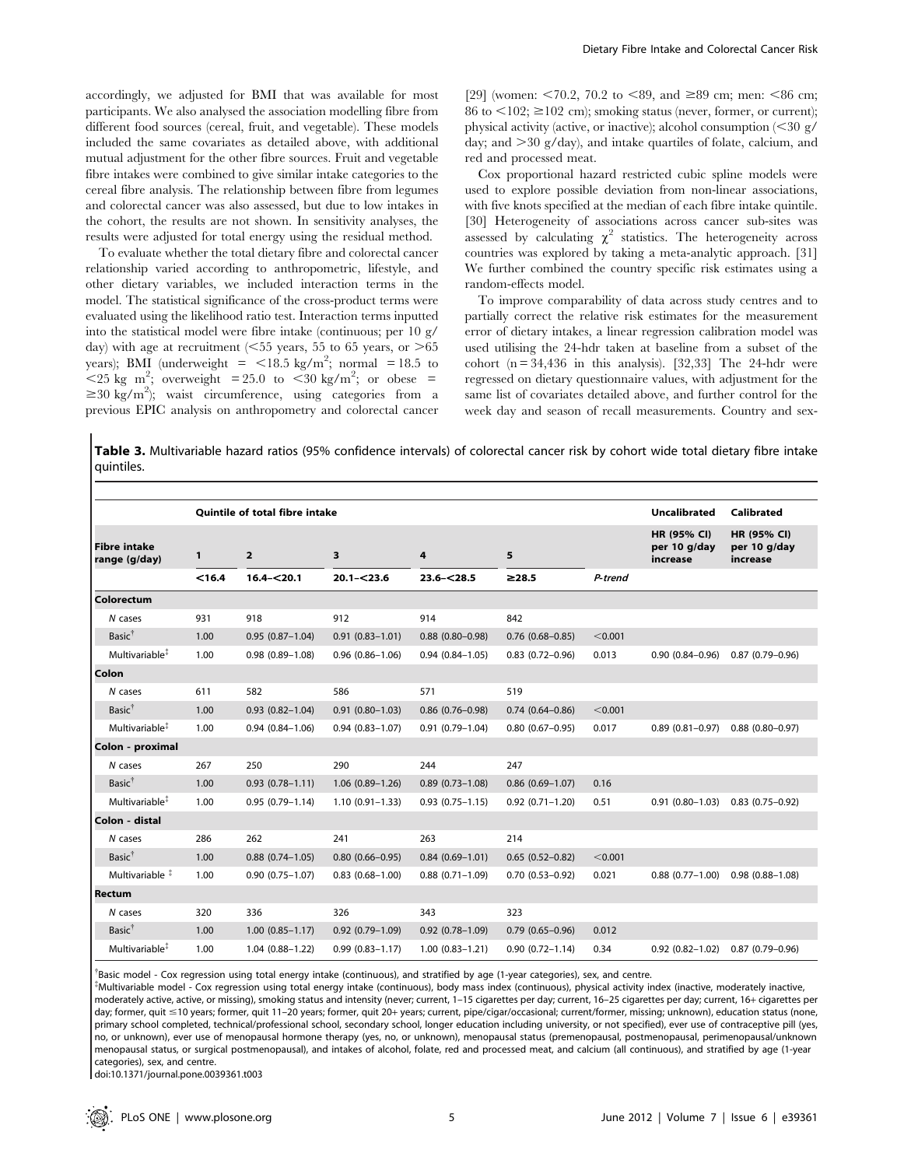accordingly, we adjusted for BMI that was available for most participants. We also analysed the association modelling fibre from different food sources (cereal, fruit, and vegetable). These models included the same covariates as detailed above, with additional mutual adjustment for the other fibre sources. Fruit and vegetable fibre intakes were combined to give similar intake categories to the cereal fibre analysis. The relationship between fibre from legumes and colorectal cancer was also assessed, but due to low intakes in the cohort, the results are not shown. In sensitivity analyses, the results were adjusted for total energy using the residual method.

To evaluate whether the total dietary fibre and colorectal cancer relationship varied according to anthropometric, lifestyle, and other dietary variables, we included interaction terms in the model. The statistical significance of the cross-product terms were evaluated using the likelihood ratio test. Interaction terms inputted into the statistical model were fibre intake (continuous; per 10 g/ day) with age at recruitment ( $<$  55 years, 55 to 65 years, or  $>$  65 years); BMI (underweight =  $\langle 18.5 \text{ kg/m}^2$ ; normal = 18.5 to  $\langle 25 \text{ kg} \text{ m}^2$ ; overweight = 25.0 to  $\langle 30 \text{ kg/m}^2 \rangle$ ; or obese =  $\geq$  30 kg/m<sup>2</sup>); waist circumference, using categories from a previous EPIC analysis on anthropometry and colorectal cancer

[29] (women:  $\leq$  70.2, 70.2 to  $\leq$  89, and  $\geq$  89 cm; men:  $\leq$  86 cm; 86 to  $\leq$ 102;  $\geq$ 102 cm); smoking status (never, former, or current); physical activity (active, or inactive); alcohol consumption  $\langle$  < 30 g/ day; and  $>30$  g/day), and intake quartiles of folate, calcium, and red and processed meat.

Cox proportional hazard restricted cubic spline models were used to explore possible deviation from non-linear associations, with five knots specified at the median of each fibre intake quintile. [30] Heterogeneity of associations across cancer sub-sites was assessed by calculating  $\gamma^2$  statistics. The heterogeneity across countries was explored by taking a meta-analytic approach. [31] We further combined the country specific risk estimates using a random-effects model.

To improve comparability of data across study centres and to partially correct the relative risk estimates for the measurement error of dietary intakes, a linear regression calibration model was used utilising the 24-hdr taken at baseline from a subset of the cohort ( $n = 34,436$  in this analysis). [32,33] The 24-hdr were regressed on dietary questionnaire values, with adjustment for the same list of covariates detailed above, and further control for the week day and season of recall measurements. Country and sex-

Table 3. Multivariable hazard ratios (95% confidence intervals) of colorectal cancer risk by cohort wide total dietary fibre intake quintiles.

|                                      |        | <b>Quintile of total fibre intake</b> |                        |                        | <b>Uncalibrated</b>    | <b>Calibrated</b> |                                         |                                         |
|--------------------------------------|--------|---------------------------------------|------------------------|------------------------|------------------------|-------------------|-----------------------------------------|-----------------------------------------|
| <b>Fibre intake</b><br>range (g/day) | 1      | $\overline{2}$                        | 3                      | 4                      | 5                      |                   | HR (95% CI)<br>per 10 g/day<br>increase | HR (95% CI)<br>per 10 g/day<br>increase |
|                                      | < 16.4 | $16.4 - 20.1$                         | $20.1 - 23.6$          | $23.6 - 28.5$          | $\geq 28.5$            | P-trend           |                                         |                                         |
| Colorectum                           |        |                                       |                        |                        |                        |                   |                                         |                                         |
| N cases                              | 931    | 918                                   | 912                    | 914                    | 842                    |                   |                                         |                                         |
| Basic <sup>†</sup>                   | 1.00   | $0.95(0.87 - 1.04)$                   | $0.91(0.83 - 1.01)$    | $0.88$ (0.80-0.98)     | $0.76$ $(0.68 - 0.85)$ | < 0.001           |                                         |                                         |
| Multivariable <sup>#</sup>           | 1.00   | $0.98(0.89 - 1.08)$                   | $0.96(0.86 - 1.06)$    | $0.94(0.84 - 1.05)$    | $0.83$ $(0.72 - 0.96)$ | 0.013             | $0.90(0.84 - 0.96)$                     | $0.87(0.79 - 0.96)$                     |
| Colon                                |        |                                       |                        |                        |                        |                   |                                         |                                         |
| N cases                              | 611    | 582                                   | 586                    | 571                    | 519                    |                   |                                         |                                         |
| Basic <sup>†</sup>                   | 1.00   | $0.93(0.82 - 1.04)$                   | $0.91(0.80 - 1.03)$    | $0.86$ (0.76-0.98)     | $0.74(0.64 - 0.86)$    | < 0.001           |                                         |                                         |
| Multivariable <sup>‡</sup>           | 1.00   | $0.94(0.84 - 1.06)$                   | $0.94(0.83 - 1.07)$    | $0.91(0.79 - 1.04)$    | $0.80(0.67 - 0.95)$    | 0.017             | $0.89(0.81 - 0.97)$                     | $0.88(0.80 - 0.97)$                     |
| Colon - proximal                     |        |                                       |                        |                        |                        |                   |                                         |                                         |
| N cases                              | 267    | 250                                   | 290                    | 244                    | 247                    |                   |                                         |                                         |
| Basic <sup>†</sup>                   | 1.00   | $0.93(0.78 - 1.11)$                   | $1.06(0.89 - 1.26)$    | $0.89$ $(0.73 - 1.08)$ | $0.86$ (0.69-1.07)     | 0.16              |                                         |                                         |
| Multivariable <sup>‡</sup>           | 1.00   | $0.95(0.79 - 1.14)$                   | $1.10(0.91 - 1.33)$    | $0.93(0.75 - 1.15)$    | $0.92(0.71 - 1.20)$    | 0.51              | $0.91(0.80 - 1.03)$                     | $0.83(0.75 - 0.92)$                     |
| Colon - distal                       |        |                                       |                        |                        |                        |                   |                                         |                                         |
| N cases                              | 286    | 262                                   | 241                    | 263                    | 214                    |                   |                                         |                                         |
| Basic <sup>†</sup>                   | 1.00   | $0.88$ $(0.74 - 1.05)$                | $0.80(0.66 - 0.95)$    | $0.84(0.69 - 1.01)$    | $0.65(0.52 - 0.82)$    | < 0.001           |                                         |                                         |
| Multivariable <sup>#</sup>           | 1.00   | $0.90(0.75 - 1.07)$                   | $0.83$ $(0.68 - 1.00)$ | $0.88$ $(0.71 - 1.09)$ | $0.70(0.53 - 0.92)$    | 0.021             | $0.88$ $(0.77 - 1.00)$                  | $0.98(0.88 - 1.08)$                     |
| Rectum                               |        |                                       |                        |                        |                        |                   |                                         |                                         |
| $N$ cases                            | 320    | 336                                   | 326                    | 343                    | 323                    |                   |                                         |                                         |
| Basic <sup>†</sup>                   | 1.00   | $1.00(0.85 - 1.17)$                   | $0.92(0.79 - 1.09)$    | $0.92(0.78 - 1.09)$    | $0.79(0.65 - 0.96)$    | 0.012             |                                         |                                         |
| Multivariable <sup>‡</sup>           | 1.00   | $1.04(0.88 - 1.22)$                   | $0.99(0.83 - 1.17)$    | $1.00(0.83 - 1.21)$    | $0.90(0.72 - 1.14)$    | 0.34              | $0.92(0.82 - 1.02)$                     | $0.87(0.79 - 0.96)$                     |

{ Basic model - Cox regression using total energy intake (continuous), and stratified by age (1-year categories), sex, and centre.

\*Multivariable model - Cox regression using total energy intake (continuous), body mass index (continuous), physical activity index (inactive, moderately inactive, moderately active, active, or missing), smoking status and intensity (never; current, 1-15 cigarettes per day; current, 16-25 cigarettes per day; current, 16+ cigarettes per day; former, quit ≤10 years; former, quit 11–20 years; former, quit 20+ years; current, pipe/cigar/occasional; current/former, missing; unknown), education status (none, primary school completed, technical/professional school, secondary school, longer education including university, or not specified), ever use of contraceptive pill (yes, no, or unknown), ever use of menopausal hormone therapy (yes, no, or unknown), menopausal status (premenopausal, postmenopausal, perimenopausal/unknown menopausal status, or surgical postmenopausal), and intakes of alcohol, folate, red and processed meat, and calcium (all continuous), and stratified by age (1-year categories), sex, and centre.

doi:10.1371/journal.pone.0039361.t003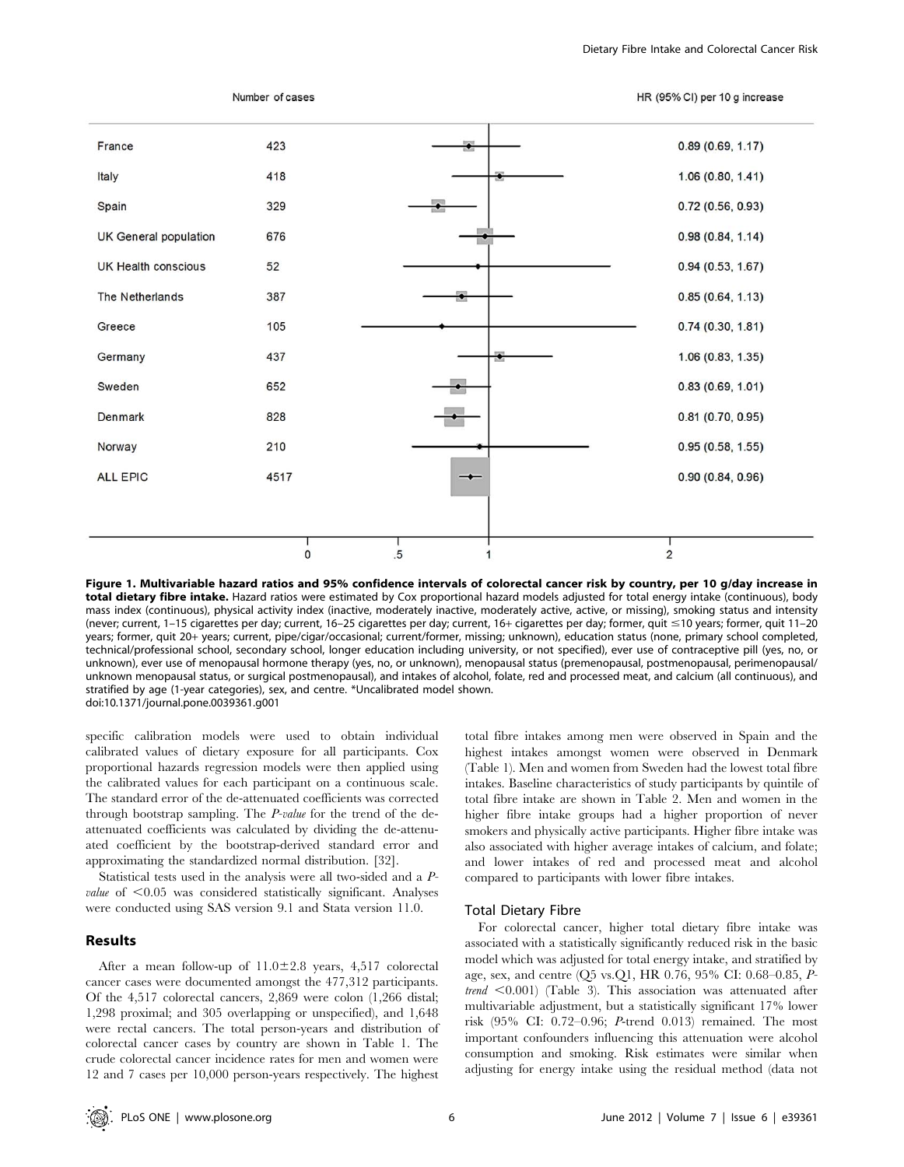#### HR (95% CI) per 10 g increase France 423  $0.89(0.69, 1.17)$ Italy 418 1.06 (0.80, 1.41) Spain 329  $0.72(0.56, 0.93)$ **UK General population** 676  $0.98(0.84, 1.14)$ **UK Health conscious**  $0.94(0.53, 1.67)$ 52 The Netherlands 387  $0.85(0.64, 1.13)$ Greece  $0.74(0.30, 1.81)$ 105 Germany 437 1.06 (0.83, 1.35) Sweden 652  $0.83(0.69, 1.01)$ Denmark 828 0.81 (0.70, 0.95) Norway 210  $0.95(0.58, 1.55)$ **ALL EPIC** 4517  $0.90(0.84, 0.96)$  $\mathbf 0$ .5  $\overline{2}$  $\mathbf{1}$

Figure 1. Multivariable hazard ratios and 95% confidence intervals of colorectal cancer risk by country, per 10 g/day increase in total dietary fibre intake. Hazard ratios were estimated by Cox proportional hazard models adjusted for total energy intake (continuous), body mass index (continuous), physical activity index (inactive, moderately inactive, moderately active, active, or missing), smoking status and intensity (never; current, 1-15 cigarettes per day; current, 16-25 cigarettes per day; current, 16+ cigarettes per day; former, quit ≤10 years; former, quit 11-20 years; former, quit 20+ years; current, pipe/cigar/occasional; current/former, missing; unknown), education status (none, primary school completed, technical/professional school, secondary school, longer education including university, or not specified), ever use of contraceptive pill (yes, no, or unknown), ever use of menopausal hormone therapy (yes, no, or unknown), menopausal status (premenopausal, postmenopausal, perimenopausal/ unknown menopausal status, or surgical postmenopausal), and intakes of alcohol, folate, red and processed meat, and calcium (all continuous), and stratified by age (1-year categories), sex, and centre. \*Uncalibrated model shown. doi:10.1371/journal.pone.0039361.g001

specific calibration models were used to obtain individual calibrated values of dietary exposure for all participants. Cox proportional hazards regression models were then applied using the calibrated values for each participant on a continuous scale. The standard error of the de-attenuated coefficients was corrected through bootstrap sampling. The P-value for the trend of the deattenuated coefficients was calculated by dividing the de-attenuated coefficient by the bootstrap-derived standard error and approximating the standardized normal distribution. [32].

Number of cases

Statistical tests used in the analysis were all two-sided and a P*value* of  $\leq 0.05$  was considered statistically significant. Analyses were conducted using SAS version 9.1 and Stata version 11.0.

# Results

After a mean follow-up of  $11.0 \pm 2.8$  years, 4,517 colorectal cancer cases were documented amongst the 477,312 participants. Of the 4,517 colorectal cancers, 2,869 were colon (1,266 distal; 1,298 proximal; and 305 overlapping or unspecified), and 1,648 were rectal cancers. The total person-years and distribution of colorectal cancer cases by country are shown in Table 1. The crude colorectal cancer incidence rates for men and women were 12 and 7 cases per 10,000 person-years respectively. The highest total fibre intakes among men were observed in Spain and the highest intakes amongst women were observed in Denmark (Table 1). Men and women from Sweden had the lowest total fibre intakes. Baseline characteristics of study participants by quintile of total fibre intake are shown in Table 2. Men and women in the higher fibre intake groups had a higher proportion of never smokers and physically active participants. Higher fibre intake was also associated with higher average intakes of calcium, and folate; and lower intakes of red and processed meat and alcohol compared to participants with lower fibre intakes.

### Total Dietary Fibre

For colorectal cancer, higher total dietary fibre intake was associated with a statistically significantly reduced risk in the basic model which was adjusted for total energy intake, and stratified by age, sex, and centre (Q5 vs.Q1, HR 0.76, 95% CI: 0.68–0.85, Ptrend  $\leq 0.001$ ) (Table 3). This association was attenuated after multivariable adjustment, but a statistically significant 17% lower risk (95% CI: 0.72–0.96; P-trend 0.013) remained. The most important confounders influencing this attenuation were alcohol consumption and smoking. Risk estimates were similar when adjusting for energy intake using the residual method (data not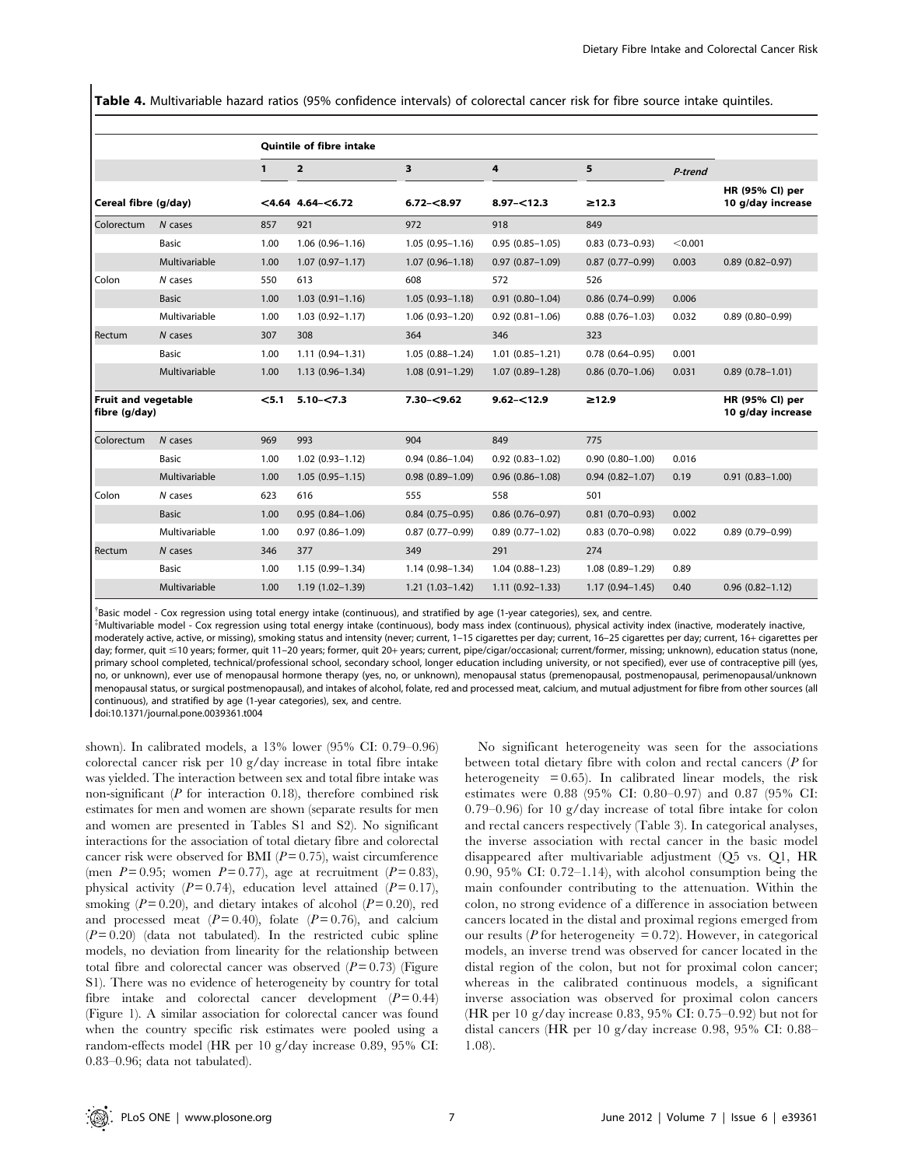Table 4. Multivariable hazard ratios (95% confidence intervals) of colorectal cancer risk for fibre source intake quintiles.

|                                      |               |              | <b>Quintile of fibre intake</b> |                        |                        |                        |         |                                      |  |
|--------------------------------------|---------------|--------------|---------------------------------|------------------------|------------------------|------------------------|---------|--------------------------------------|--|
|                                      |               | $\mathbf{1}$ | $\overline{2}$                  | 3                      | 4                      | 5                      | P-trend |                                      |  |
| Cereal fibre (g/day)                 |               |              | $<$ 4.64 4.64 - $<$ 6.72        | $6.72 - 8.97$          | $8.97 - 12.3$          | $\geq$ 12.3            |         | HR (95% CI) per<br>10 g/day increase |  |
| Colorectum                           | N cases       | 857          | 921                             | 972                    | 918                    | 849                    |         |                                      |  |
|                                      | <b>Basic</b>  | 1.00         | $1.06(0.96 - 1.16)$             | $1.05(0.95 - 1.16)$    | $0.95(0.85 - 1.05)$    | $0.83$ $(0.73 - 0.93)$ | < 0.001 |                                      |  |
|                                      | Multivariable | 1.00         | $1.07(0.97 - 1.17)$             | $1.07(0.96 - 1.18)$    | $0.97(0.87 - 1.09)$    | $0.87(0.77-0.99)$      | 0.003   | $0.89$ (0.82-0.97)                   |  |
| Colon                                | N cases       | 550          | 613                             | 608                    | 572                    | 526                    |         |                                      |  |
|                                      | <b>Basic</b>  | 1.00         | $1.03(0.91 - 1.16)$             | $1.05(0.93 - 1.18)$    | $0.91(0.80 - 1.04)$    | $0.86$ $(0.74 - 0.99)$ | 0.006   |                                      |  |
|                                      | Multivariable | 1.00         | $1.03(0.92 - 1.17)$             | $1.06(0.93 - 1.20)$    | $0.92(0.81 - 1.06)$    | $0.88(0.76 - 1.03)$    | 0.032   | $0.89$ $(0.80 - 0.99)$               |  |
| Rectum                               | N cases       | 307          | 308                             | 364                    | 346                    | 323                    |         |                                      |  |
|                                      | <b>Basic</b>  | 1.00         | $1.11(0.94 - 1.31)$             | $1.05(0.88 - 1.24)$    | $1.01(0.85 - 1.21)$    | $0.78(0.64 - 0.95)$    | 0.001   |                                      |  |
|                                      | Multivariable | 1.00         | $1.13(0.96 - 1.34)$             | $1.08(0.91 - 1.29)$    | $1.07(0.89 - 1.28)$    | $0.86(0.70-1.06)$      | 0.031   | $0.89(0.78 - 1.01)$                  |  |
| Fruit and vegetable<br>fibre (g/day) |               | < 5.1        | $5.10 - 5.3$                    | $7.30 - 5.62$          | $9.62 - 12.9$          | $\geq 12.9$            |         | HR (95% CI) per<br>10 g/day increase |  |
| Colorectum                           | N cases       | 969          | 993                             | 904                    | 849                    | 775                    |         |                                      |  |
|                                      | <b>Basic</b>  | 1.00         | $1.02(0.93 - 1.12)$             | $0.94(0.86 - 1.04)$    | $0.92(0.83 - 1.02)$    | $0.90(0.80 - 1.00)$    | 0.016   |                                      |  |
|                                      | Multivariable | 1.00         | $1.05(0.95 - 1.15)$             | $0.98(0.89 - 1.09)$    | $0.96(0.86 - 1.08)$    | $0.94(0.82 - 1.07)$    | 0.19    | $0.91(0.83 - 1.00)$                  |  |
| Colon                                | N cases       | 623          | 616                             | 555                    | 558                    | 501                    |         |                                      |  |
|                                      | <b>Basic</b>  | 1.00         | $0.95(0.84 - 1.06)$             | $0.84(0.75-0.95)$      | $0.86$ $(0.76 - 0.97)$ | $0.81(0.70 - 0.93)$    | 0.002   |                                      |  |
|                                      | Multivariable | 1.00         | $0.97(0.86 - 1.09)$             | $0.87$ $(0.77 - 0.99)$ | $0.89(0.77 - 1.02)$    | $0.83$ (0.70-0.98)     | 0.022   | $0.89(0.79 - 0.99)$                  |  |
| Rectum                               | N cases       | 346          | 377                             | 349                    | 291                    | 274                    |         |                                      |  |
|                                      | <b>Basic</b>  | 1.00         | 1.15 (0.99-1.34)                | $1.14(0.98 - 1.34)$    | $1.04(0.88 - 1.23)$    | $1.08(0.89 - 1.29)$    | 0.89    |                                      |  |
|                                      | Multivariable | 1.00         | $1.19(1.02 - 1.39)$             | $1.21(1.03-1.42)$      | $1.11(0.92 - 1.33)$    | $1.17(0.94 - 1.45)$    | 0.40    | $0.96(0.82 - 1.12)$                  |  |

{ Basic model - Cox regression using total energy intake (continuous), and stratified by age (1-year categories), sex, and centre.

{ Multivariable model - Cox regression using total energy intake (continuous), body mass index (continuous), physical activity index (inactive, moderately inactive, moderately active, active, or missing), smoking status and intensity (never; current, 1-15 cigarettes per day; current, 16-25 cigarettes per day; current, 16+ cigarettes per day; former, quit ≤10 years; former, quit 11–20 years; former, quit 20+ years; current, pipe/cigar/occasional; current/former, missing; unknown), education status (none, primary school completed, technical/professional school, secondary school, longer education including university, or not specified), ever use of contraceptive pill (yes, no, or unknown), ever use of menopausal hormone therapy (yes, no, or unknown), menopausal status (premenopausal, postmenopausal, perimenopausal/unknown menopausal status, or surgical postmenopausal), and intakes of alcohol, folate, red and processed meat, calcium, and mutual adjustment for fibre from other sources (all continuous), and stratified by age (1-year categories), sex, and centre.

doi:10.1371/journal.pone.0039361.t004

shown). In calibrated models, a 13% lower (95% CI: 0.79–0.96) colorectal cancer risk per 10 g/day increase in total fibre intake was yielded. The interaction between sex and total fibre intake was non-significant  $(P \text{ for interaction } 0.18)$ , therefore combined risk estimates for men and women are shown (separate results for men and women are presented in Tables S1 and S2). No significant interactions for the association of total dietary fibre and colorectal cancer risk were observed for BMI  $(P=0.75)$ , waist circumference (men  $P = 0.95$ ; women  $P = 0.77$ ), age at recruitment ( $P = 0.83$ ), physical activity ( $P = 0.74$ ), education level attained ( $P = 0.17$ ), smoking ( $P = 0.20$ ), and dietary intakes of alcohol ( $P = 0.20$ ), red and processed meat  $(P=0.40)$ , folate  $(P=0.76)$ , and calcium  $(P=0.20)$  (data not tabulated). In the restricted cubic spline models, no deviation from linearity for the relationship between total fibre and colorectal cancer was observed  $(P=0.73)$  (Figure S1). There was no evidence of heterogeneity by country for total fibre intake and colorectal cancer development  $(P=0.44)$ (Figure 1). A similar association for colorectal cancer was found when the country specific risk estimates were pooled using a random-effects model (HR per 10 g/day increase 0.89, 95% CI: 0.83–0.96; data not tabulated).

No significant heterogeneity was seen for the associations between total dietary fibre with colon and rectal cancers (P for heterogeneity  $= 0.65$ ). In calibrated linear models, the risk estimates were 0.88 (95% CI: 0.80–0.97) and 0.87 (95% CI: 0.79–0.96) for 10 g/day increase of total fibre intake for colon and rectal cancers respectively (Table 3). In categorical analyses, the inverse association with rectal cancer in the basic model disappeared after multivariable adjustment (Q5 vs. Q1, HR 0.90, 95% CI: 0.72–1.14), with alcohol consumption being the main confounder contributing to the attenuation. Within the colon, no strong evidence of a difference in association between cancers located in the distal and proximal regions emerged from our results (*P* for heterogeneity  $= 0.72$ ). However, in categorical models, an inverse trend was observed for cancer located in the distal region of the colon, but not for proximal colon cancer; whereas in the calibrated continuous models, a significant inverse association was observed for proximal colon cancers (HR per 10 g/day increase 0.83, 95% CI: 0.75–0.92) but not for distal cancers (HR per 10 g/day increase 0.98, 95% CI: 0.88– 1.08).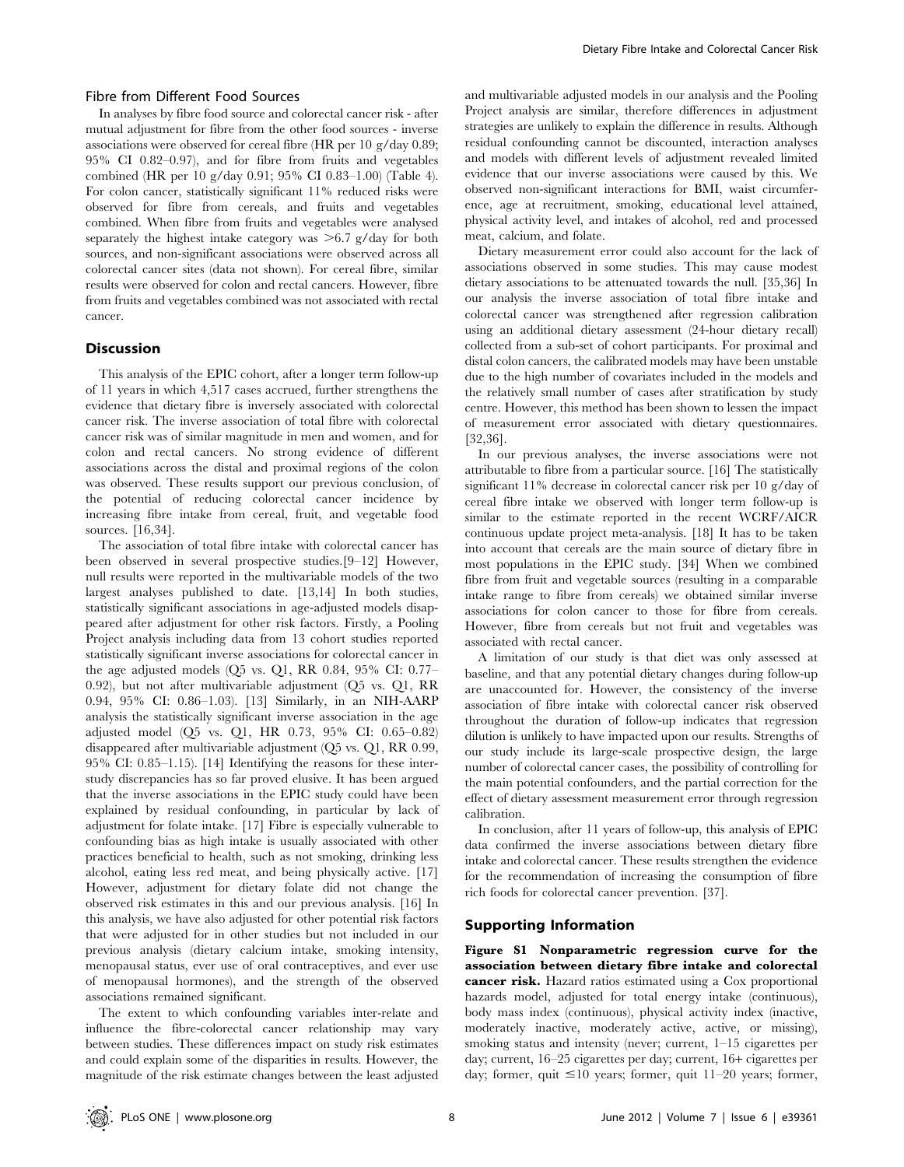# Fibre from Different Food Sources

In analyses by fibre food source and colorectal cancer risk - after mutual adjustment for fibre from the other food sources - inverse associations were observed for cereal fibre (HR per 10 g/day 0.89; 95% CI 0.82–0.97), and for fibre from fruits and vegetables combined (HR per 10 g/day 0.91; 95% CI 0.83–1.00) (Table 4). For colon cancer, statistically significant 11% reduced risks were observed for fibre from cereals, and fruits and vegetables combined. When fibre from fruits and vegetables were analysed separately the highest intake category was  $\geq 6.7$  g/day for both sources, and non-significant associations were observed across all colorectal cancer sites (data not shown). For cereal fibre, similar results were observed for colon and rectal cancers. However, fibre from fruits and vegetables combined was not associated with rectal cancer.

## **Discussion**

This analysis of the EPIC cohort, after a longer term follow-up of 11 years in which 4,517 cases accrued, further strengthens the evidence that dietary fibre is inversely associated with colorectal cancer risk. The inverse association of total fibre with colorectal cancer risk was of similar magnitude in men and women, and for colon and rectal cancers. No strong evidence of different associations across the distal and proximal regions of the colon was observed. These results support our previous conclusion, of the potential of reducing colorectal cancer incidence by increasing fibre intake from cereal, fruit, and vegetable food sources. [16,34].

The association of total fibre intake with colorectal cancer has been observed in several prospective studies.[9–12] However, null results were reported in the multivariable models of the two largest analyses published to date. [13,14] In both studies, statistically significant associations in age-adjusted models disappeared after adjustment for other risk factors. Firstly, a Pooling Project analysis including data from 13 cohort studies reported statistically significant inverse associations for colorectal cancer in the age adjusted models (Q5 vs. Q1, RR 0.84, 95% CI: 0.77– 0.92), but not after multivariable adjustment (Q5 vs. Q1, RR 0.94, 95% CI: 0.86–1.03). [13] Similarly, in an NIH-AARP analysis the statistically significant inverse association in the age adjusted model (Q5 vs. Q1, HR 0.73, 95% CI: 0.65–0.82) disappeared after multivariable adjustment (Q5 vs. Q1, RR 0.99, 95% CI: 0.85–1.15). [14] Identifying the reasons for these interstudy discrepancies has so far proved elusive. It has been argued that the inverse associations in the EPIC study could have been explained by residual confounding, in particular by lack of adjustment for folate intake. [17] Fibre is especially vulnerable to confounding bias as high intake is usually associated with other practices beneficial to health, such as not smoking, drinking less alcohol, eating less red meat, and being physically active. [17] However, adjustment for dietary folate did not change the observed risk estimates in this and our previous analysis. [16] In this analysis, we have also adjusted for other potential risk factors that were adjusted for in other studies but not included in our previous analysis (dietary calcium intake, smoking intensity, menopausal status, ever use of oral contraceptives, and ever use of menopausal hormones), and the strength of the observed associations remained significant.

The extent to which confounding variables inter-relate and influence the fibre-colorectal cancer relationship may vary between studies. These differences impact on study risk estimates and could explain some of the disparities in results. However, the magnitude of the risk estimate changes between the least adjusted

and multivariable adjusted models in our analysis and the Pooling Project analysis are similar, therefore differences in adjustment strategies are unlikely to explain the difference in results. Although residual confounding cannot be discounted, interaction analyses and models with different levels of adjustment revealed limited evidence that our inverse associations were caused by this. We observed non-significant interactions for BMI, waist circumference, age at recruitment, smoking, educational level attained, physical activity level, and intakes of alcohol, red and processed meat, calcium, and folate.

Dietary measurement error could also account for the lack of associations observed in some studies. This may cause modest dietary associations to be attenuated towards the null. [35,36] In our analysis the inverse association of total fibre intake and colorectal cancer was strengthened after regression calibration using an additional dietary assessment (24-hour dietary recall) collected from a sub-set of cohort participants. For proximal and distal colon cancers, the calibrated models may have been unstable due to the high number of covariates included in the models and the relatively small number of cases after stratification by study centre. However, this method has been shown to lessen the impact of measurement error associated with dietary questionnaires. [32,36].

In our previous analyses, the inverse associations were not attributable to fibre from a particular source. [16] The statistically significant 11% decrease in colorectal cancer risk per 10 g/day of cereal fibre intake we observed with longer term follow-up is similar to the estimate reported in the recent WCRF/AICR continuous update project meta-analysis. [18] It has to be taken into account that cereals are the main source of dietary fibre in most populations in the EPIC study. [34] When we combined fibre from fruit and vegetable sources (resulting in a comparable intake range to fibre from cereals) we obtained similar inverse associations for colon cancer to those for fibre from cereals. However, fibre from cereals but not fruit and vegetables was associated with rectal cancer.

A limitation of our study is that diet was only assessed at baseline, and that any potential dietary changes during follow-up are unaccounted for. However, the consistency of the inverse association of fibre intake with colorectal cancer risk observed throughout the duration of follow-up indicates that regression dilution is unlikely to have impacted upon our results. Strengths of our study include its large-scale prospective design, the large number of colorectal cancer cases, the possibility of controlling for the main potential confounders, and the partial correction for the effect of dietary assessment measurement error through regression calibration.

In conclusion, after 11 years of follow-up, this analysis of EPIC data confirmed the inverse associations between dietary fibre intake and colorectal cancer. These results strengthen the evidence for the recommendation of increasing the consumption of fibre rich foods for colorectal cancer prevention. [37].

# Supporting Information

Figure S1 Nonparametric regression curve for the association between dietary fibre intake and colorectal cancer risk. Hazard ratios estimated using a Cox proportional hazards model, adjusted for total energy intake (continuous), body mass index (continuous), physical activity index (inactive, moderately inactive, moderately active, active, or missing), smoking status and intensity (never; current, 1–15 cigarettes per day; current, 16–25 cigarettes per day; current, 16+ cigarettes per day; former, quit  $\leq 10$  years; former, quit  $11-20$  years; former,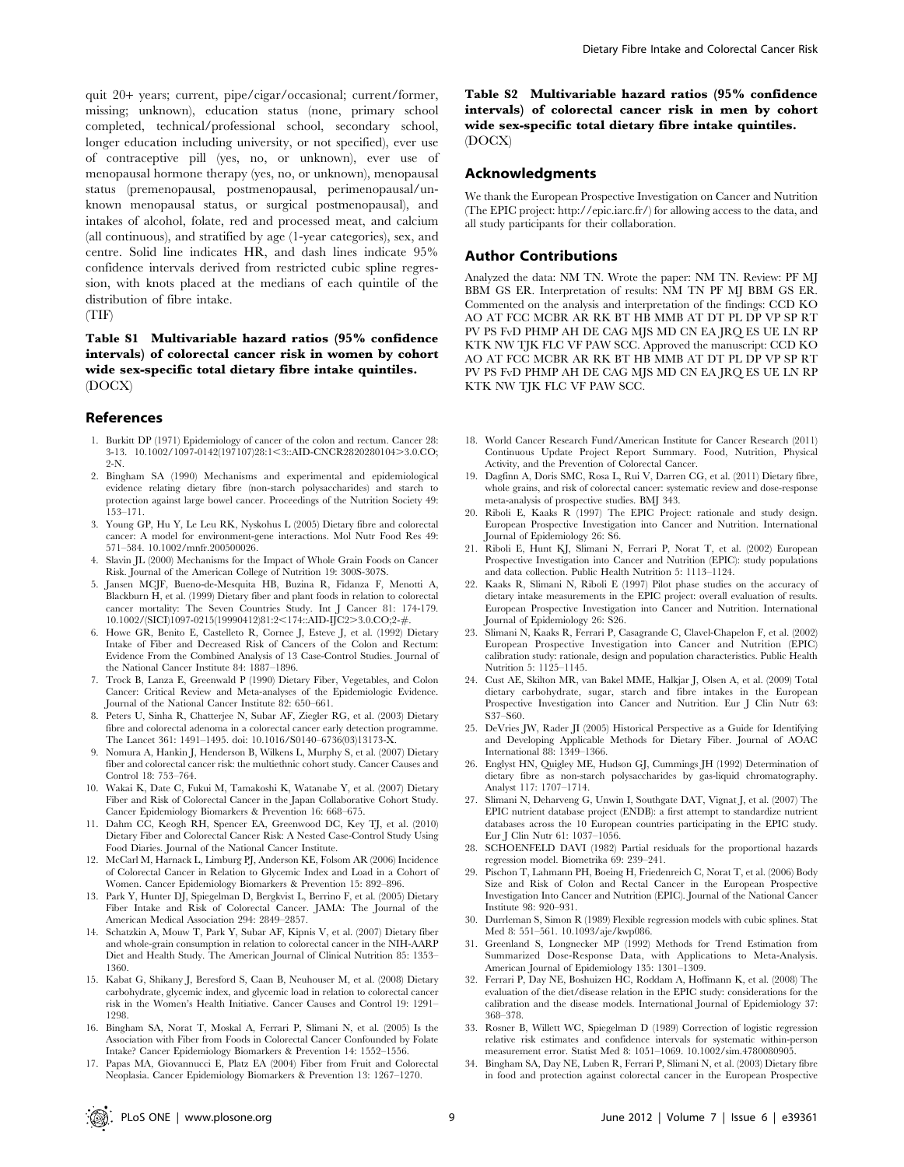quit 20+ years; current, pipe/cigar/occasional; current/former, missing; unknown), education status (none, primary school completed, technical/professional school, secondary school, longer education including university, or not specified), ever use of contraceptive pill (yes, no, or unknown), ever use of menopausal hormone therapy (yes, no, or unknown), menopausal status (premenopausal, postmenopausal, perimenopausal/unknown menopausal status, or surgical postmenopausal), and intakes of alcohol, folate, red and processed meat, and calcium (all continuous), and stratified by age (1-year categories), sex, and centre. Solid line indicates HR, and dash lines indicate 95% confidence intervals derived from restricted cubic spline regression, with knots placed at the medians of each quintile of the distribution of fibre intake.

(TIF)

Table S1 Multivariable hazard ratios (95% confidence intervals) of colorectal cancer risk in women by cohort wide sex-specific total dietary fibre intake quintiles. (DOCX)

#### References

- 1. Burkitt DP (1971) Epidemiology of cancer of the colon and rectum. Cancer 28: 3-13. 10.1002/1097-0142(197107)28:1<3::AID-CNCR2820280104>3.0.CO; 2-N.
- 2. Bingham SA (1990) Mechanisms and experimental and epidemiological evidence relating dietary fibre (non-starch polysaccharides) and starch to protection against large bowel cancer. Proceedings of the Nutrition Society 49: 153–171.
- 3. Young GP, Hu Y, Le Leu RK, Nyskohus L (2005) Dietary fibre and colorectal cancer: A model for environment-gene interactions. Mol Nutr Food Res 49: 571–584. 10.1002/mnfr.200500026.
- 4. Slavin JL (2000) Mechanisms for the Impact of Whole Grain Foods on Cancer Risk. Journal of the American College of Nutrition 19: 300S-307S.
- 5. Jansen MCJF, Bueno-de-Mesquita HB, Buzina R, Fidanza F, Menotti A, Blackburn H, et al. (1999) Dietary fiber and plant foods in relation to colorectal cancer mortality: The Seven Countries Study. Int J Cancer 81: 174-179. 10.1002/(SICI)1097-0215(19990412)81:2<174::AID-IJC2>3.0.CO;2-#.
- 6. Howe GR, Benito E, Castelleto R, Cornee J, Esteve J, et al. (1992) Dietary Intake of Fiber and Decreased Risk of Cancers of the Colon and Rectum: Evidence From the Combined Analysis of 13 Case-Control Studies. Journal of the National Cancer Institute 84: 1887–1896.
- 7. Trock B, Lanza E, Greenwald P (1990) Dietary Fiber, Vegetables, and Colon Cancer: Critical Review and Meta-analyses of the Epidemiologic Evidence. Journal of the National Cancer Institute 82: 650–661.
- 8. Peters U, Sinha R, Chatterjee N, Subar AF, Ziegler RG, et al. (2003) Dietary fibre and colorectal adenoma in a colorectal cancer early detection programme. The Lancet 361: 1491–1495. doi: 10.1016/S0140–6736(03)13173-X.
- 9. Nomura A, Hankin J, Henderson B, Wilkens L, Murphy S, et al. (2007) Dietary fiber and colorectal cancer risk: the multiethnic cohort study. Cancer Causes and Control 18: 753–764.
- 10. Wakai K, Date C, Fukui M, Tamakoshi K, Watanabe Y, et al. (2007) Dietary Fiber and Risk of Colorectal Cancer in the Japan Collaborative Cohort Study. Cancer Epidemiology Biomarkers & Prevention 16: 668–675.
- 11. Dahm CC, Keogh RH, Spencer EA, Greenwood DC, Key TJ, et al. (2010) Dietary Fiber and Colorectal Cancer Risk: A Nested Case-Control Study Using Food Diaries. Journal of the National Cancer Institute.
- 12. McCarl M, Harnack L, Limburg PJ, Anderson KE, Folsom AR (2006) Incidence of Colorectal Cancer in Relation to Glycemic Index and Load in a Cohort of Women. Cancer Epidemiology Biomarkers & Prevention 15: 892–896.
- 13. Park Y, Hunter DJ, Spiegelman D, Bergkvist L, Berrino F, et al. (2005) Dietary Fiber Intake and Risk of Colorectal Cancer. JAMA: The Journal of the American Medical Association 294: 2849–2857.
- 14. Schatzkin A, Mouw T, Park Y, Subar AF, Kipnis V, et al. (2007) Dietary fiber and whole-grain consumption in relation to colorectal cancer in the NIH-AARP Diet and Health Study. The American Journal of Clinical Nutrition 85: 1353– 1360.
- 15. Kabat G, Shikany J, Beresford S, Caan B, Neuhouser M, et al. (2008) Dietary carbohydrate, glycemic index, and glycemic load in relation to colorectal cancer risk in the Women's Health Initiative. Cancer Causes and Control 19: 1291– 1298.
- 16. Bingham SA, Norat T, Moskal A, Ferrari P, Slimani N, et al. (2005) Is the Association with Fiber from Foods in Colorectal Cancer Confounded by Folate Intake? Cancer Epidemiology Biomarkers & Prevention 14: 1552–1556.
- 17. Papas MA, Giovannucci E, Platz EA (2004) Fiber from Fruit and Colorectal Neoplasia. Cancer Epidemiology Biomarkers & Prevention 13: 1267–1270.

Table S2 Multivariable hazard ratios (95% confidence intervals) of colorectal cancer risk in men by cohort wide sex-specific total dietary fibre intake quintiles. (DOCX)

#### Acknowledgments

We thank the European Prospective Investigation on Cancer and Nutrition (The EPIC project: http://epic.iarc.fr/) for allowing access to the data, and all study participants for their collaboration.

# Author Contributions

Analyzed the data: NM TN. Wrote the paper: NM TN. Review: PF MJ BBM GS ER. Interpretation of results: NM TN PF MJ BBM GS ER. Commented on the analysis and interpretation of the findings: CCD KO AO AT FCC MCBR AR RK BT HB MMB AT DT PL DP VP SP RT PV PS FvD PHMP AH DE CAG MJS MD CN EA JRQ ES UE LN RP KTK NW TJK FLC VF PAW SCC. Approved the manuscript: CCD KO AO AT FCC MCBR AR RK BT HB MMB AT DT PL DP VP SP RT PV PS FvD PHMP AH DE CAG MJS MD CN EA JRQ ES UE LN RP KTK NW TJK FLC VF PAW SCC.

- 18. World Cancer Research Fund/American Institute for Cancer Research (2011) Continuous Update Project Report Summary. Food, Nutrition, Physical Activity, and the Prevention of Colorectal Cancer.
- 19. Dagfinn A, Doris SMC, Rosa L, Rui V, Darren CG, et al. (2011) Dietary fibre, whole grains, and risk of colorectal cancer: systematic review and dose-response meta-analysis of prospective studies. BMJ 343.
- 20. Riboli E, Kaaks R (1997) The EPIC Project: rationale and study design. European Prospective Investigation into Cancer and Nutrition. International Journal of Epidemiology 26: S6.
- 21. Riboli E, Hunt KJ, Slimani N, Ferrari P, Norat T, et al. (2002) European Prospective Investigation into Cancer and Nutrition (EPIC): study populations and data collection. Public Health Nutrition 5: 1113–1124.
- 22. Kaaks R, Slimani N, Riboli E (1997) Pilot phase studies on the accuracy of dietary intake measurements in the EPIC project: overall evaluation of results. European Prospective Investigation into Cancer and Nutrition. International Journal of Epidemiology 26: S26.
- 23. Slimani N, Kaaks R, Ferrari P, Casagrande C, Clavel-Chapelon F, et al. (2002) European Prospective Investigation into Cancer and Nutrition (EPIC) calibration study: rationale, design and population characteristics. Public Health Nutrition 5: 1125–1145.
- 24. Cust AE, Skilton MR, van Bakel MME, Halkjar J, Olsen A, et al. (2009) Total dietary carbohydrate, sugar, starch and fibre intakes in the European Prospective Investigation into Cancer and Nutrition. Eur J Clin Nutr 63: S37–S60.
- 25. DeVries JW, Rader JI (2005) Historical Perspective as a Guide for Identifying and Developing Applicable Methods for Dietary Fiber. Journal of AOAC International 88: 1349–1366.
- 26. Englyst HN, Quigley ME, Hudson GJ, Cummings JH (1992) Determination of dietary fibre as non-starch polysaccharides by gas-liquid chromatography. Analyst 117: 1707–1714.
- 27. Slimani N, Deharveng G, Unwin I, Southgate DAT, Vignat J, et al. (2007) The EPIC nutrient database project (ENDB): a first attempt to standardize nutrient databases across the 10 European countries participating in the EPIC study. Eur J Clin Nutr 61: 1037–1056.
- 28. SCHOENFELD DAVI (1982) Partial residuals for the proportional hazards regression model. Biometrika 69: 239–241.
- 29. Pischon T, Lahmann PH, Boeing H, Friedenreich C, Norat T, et al. (2006) Body Size and Risk of Colon and Rectal Cancer in the European Prospective Investigation Into Cancer and Nutrition (EPIC). Journal of the National Cancer Institute 98: 920–931.
- 30. Durrleman S, Simon R (1989) Flexible regression models with cubic splines. Stat Med 8: 551–561. 10.1093/aje/kwp086.
- 31. Greenland S, Longnecker MP (1992) Methods for Trend Estimation from Summarized Dose-Response Data, with Applications to Meta-Analysis. American Journal of Epidemiology 135: 1301–1309.
- 32. Ferrari P, Day NE, Boshuizen HC, Roddam A, Hoffmann K, et al. (2008) The evaluation of the diet/disease relation in the EPIC study: considerations for the calibration and the disease models. International Journal of Epidemiology 37: 368–378.
- 33. Rosner B, Willett WC, Spiegelman D (1989) Correction of logistic regression relative risk estimates and confidence intervals for systematic within-person measurement error. Statist Med 8: 1051–1069. 10.1002/sim.4780080905.
- 34. Bingham SA, Day NE, Luben R, Ferrari P, Slimani N, et al. (2003) Dietary fibre in food and protection against colorectal cancer in the European Prospective